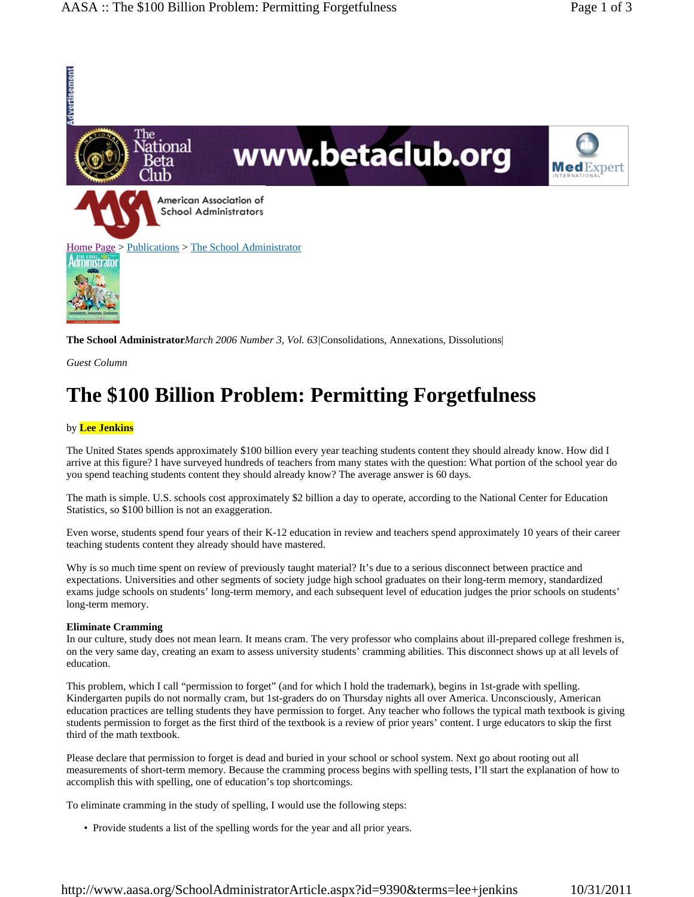

**The School Administrator***March 2006 Number 3, Vol. 63|*Consolidations, Annexations, Dissolutions|

*Guest Column*

# **The \$100 Billion Problem: Permitting Forgetfulness**

### by **Lee Jenkins**

The United States spends approximately \$100 billion every year teaching students content they should already know. How did I arrive at this figure? I have surveyed hundreds of teachers from many states with the question: What portion of the school year do you spend teaching students content they should already know? The average answer is 60 days.

The math is simple. U.S. schools cost approximately \$2 billion a day to operate, according to the National Center for Education Statistics, so \$100 billion is not an exaggeration.

Even worse, students spend four years of their K-12 education in review and teachers spend approximately 10 years of their career teaching students content they already should have mastered.

Why is so much time spent on review of previously taught material? It's due to a serious disconnect between practice and expectations. Universities and other segments of society judge high school graduates on their long-term memory, standardized exams judge schools on students' long-term memory, and each subsequent level of education judges the prior schools on students' long-term memory.

### **Eliminate Cramming**

In our culture, study does not mean learn. It means cram. The very professor who complains about ill-prepared college freshmen is, on the very same day, creating an exam to assess university students' cramming abilities. This disconnect shows up at all levels of education.

This problem, which I call "permission to forget" (and for which I hold the trademark), begins in 1st-grade with spelling. Kindergarten pupils do not normally cram, but 1st-graders do on Thursday nights all over America. Unconsciously, American education practices are telling students they have permission to forget. Any teacher who follows the typical math textbook is giving students permission to forget as the first third of the textbook is a review of prior years' content. I urge educators to skip the first third of the math textbook.

Please declare that permission to forget is dead and buried in your school or school system. Next go about rooting out all measurements of short-term memory. Because the cramming process begins with spelling tests, I'll start the explanation of how to accomplish this with spelling, one of education's top shortcomings.

To eliminate cramming in the study of spelling, I would use the following steps:

• Provide students a list of the spelling words for the year and all prior years.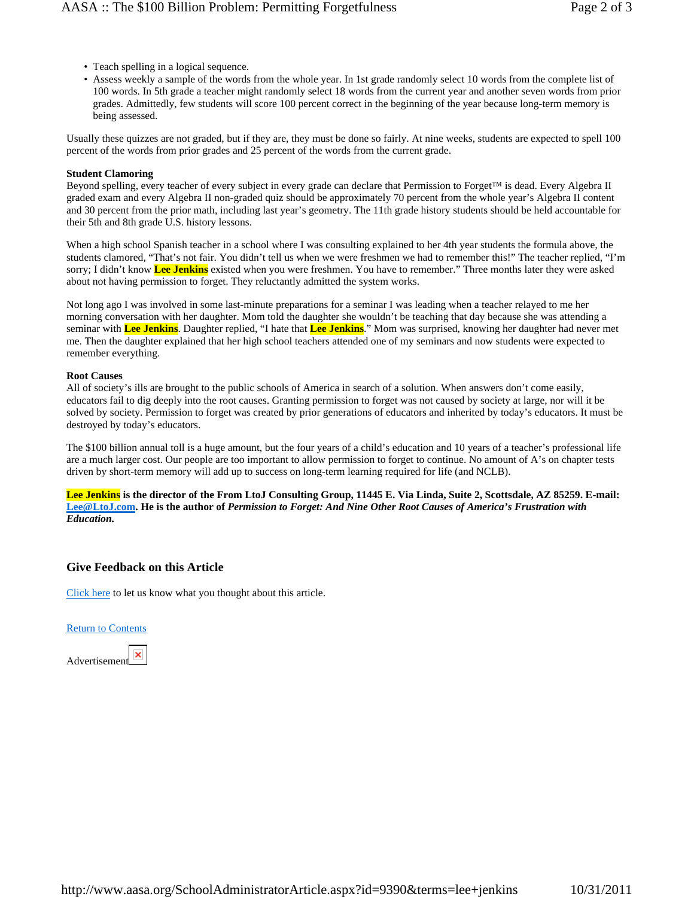- Teach spelling in a logical sequence.
- Assess weekly a sample of the words from the whole year. In 1st grade randomly select 10 words from the complete list of 100 words. In 5th grade a teacher might randomly select 18 words from the current year and another seven words from prior grades. Admittedly, few students will score 100 percent correct in the beginning of the year because long-term memory is being assessed.

Usually these quizzes are not graded, but if they are, they must be done so fairly. At nine weeks, students are expected to spell 100 percent of the words from prior grades and 25 percent of the words from the current grade.

### **Student Clamoring**

Beyond spelling, every teacher of every subject in every grade can declare that Permission to Forget™ is dead. Every Algebra II graded exam and every Algebra II non-graded quiz should be approximately 70 percent from the whole year's Algebra II content and 30 percent from the prior math, including last year's geometry. The 11th grade history students should be held accountable for their 5th and 8th grade U.S. history lessons.

When a high school Spanish teacher in a school where I was consulting explained to her 4th year students the formula above, the students clamored, "That's not fair. You didn't tell us when we were freshmen we had to remember this!" The teacher replied, "I'm sorry; I didn't know **Lee Jenkins** existed when you were freshmen. You have to remember." Three months later they were asked about not having permission to forget. They reluctantly admitted the system works.

Not long ago I was involved in some last-minute preparations for a seminar I was leading when a teacher relayed to me her morning conversation with her daughter. Mom told the daughter she wouldn't be teaching that day because she was attending a seminar with **Lee Jenkins**. Daughter replied, "I hate that **Lee Jenkins**." Mom was surprised, knowing her daughter had never met me. Then the daughter explained that her high school teachers attended one of my seminars and now students were expected to remember everything.

#### **Root Causes**

All of society's ills are brought to the public schools of America in search of a solution. When answers don't come easily, educators fail to dig deeply into the root causes. Granting permission to forget was not caused by society at large, nor will it be solved by society. Permission to forget was created by prior generations of educators and inherited by today's educators. It must be destroyed by today's educators.

The \$100 billion annual toll is a huge amount, but the four years of a child's education and 10 years of a teacher's professional life are a much larger cost. Our people are too important to allow permission to forget to continue. No amount of A's on chapter tests driven by short-term memory will add up to success on long-term learning required for life (and NCLB).

**Lee Jenkins is the director of the From LtoJ Consulting Group, 11445 E. Via Linda, Suite 2, Scottsdale, AZ 85259. E-mail: Lee@LtoJ.com. He is the author of** *Permission to Forget: And Nine Other Root Causes of America's Frustration with Education.*

## **Give Feedback on this Article**

Click here to let us know what you thought about this article.

### Return to Contents